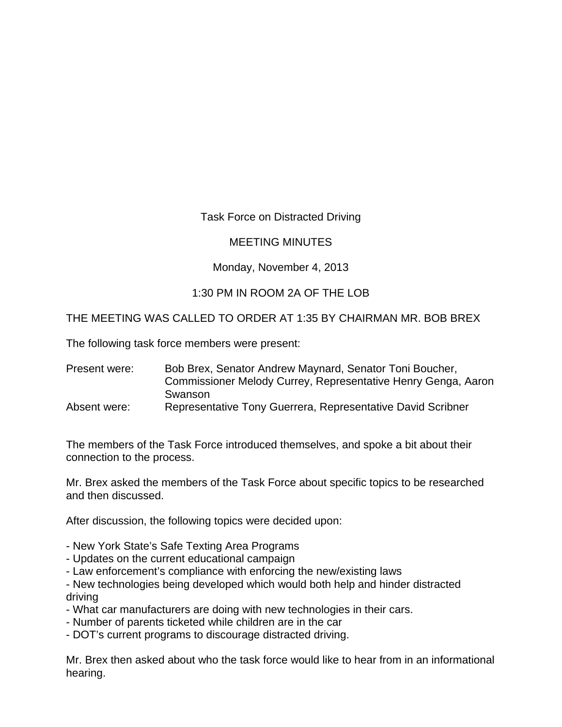## Task Force on Distracted Driving

## MEETING MINUTES

## Monday, November 4, 2013

# 1:30 PM IN ROOM 2A OF THE LOB

### THE MEETING WAS CALLED TO ORDER AT 1:35 BY CHAIRMAN MR. BOB BREX

The following task force members were present:

Present were: Bob Brex, Senator Andrew Maynard, Senator Toni Boucher, Commissioner Melody Currey, Representative Henry Genga, Aaron **Swanson** 

Absent were: Representative Tony Guerrera, Representative David Scribner

The members of the Task Force introduced themselves, and spoke a bit about their connection to the process.

Mr. Brex asked the members of the Task Force about specific topics to be researched and then discussed.

After discussion, the following topics were decided upon:

- New York State's Safe Texting Area Programs
- Updates on the current educational campaign
- Law enforcement's compliance with enforcing the new/existing laws
- New technologies being developed which would both help and hinder distracted driving
- What car manufacturers are doing with new technologies in their cars.
- Number of parents ticketed while children are in the car
- DOT's current programs to discourage distracted driving.

Mr. Brex then asked about who the task force would like to hear from in an informational hearing.